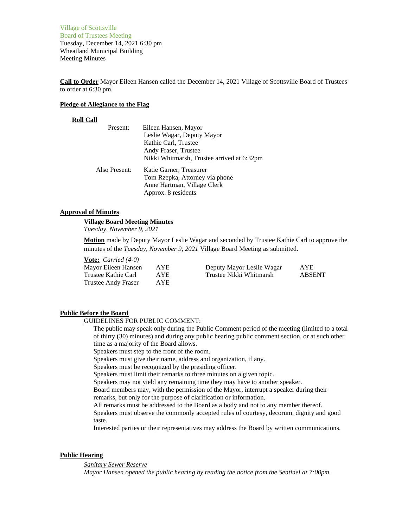Village of Scottsville Board of Trustees Meeting Tuesday, December 14, 2021 6:30 pm Wheatland Municipal Building Meeting Minutes

**Call to Order** Mayor Eileen Hansen called the December 14, 2021 Village of Scottsville Board of Trustees to order at 6:30 pm.

### **Pledge of Allegiance to the Flag**

### **Roll Call**

| Eileen Hansen, Mayor                       |
|--------------------------------------------|
| Leslie Wagar, Deputy Mayor                 |
| Kathie Carl, Trustee                       |
| Andy Fraser, Trustee                       |
| Nikki Whitmarsh, Trustee arrived at 6:32pm |
| Katie Garner, Treasurer                    |
| Tom Rzepka, Attorney via phone             |
| Anne Hartman, Village Clerk                |
| Approx. 8 residents                        |
|                                            |

## **Approval of Minutes**

#### **Village Board Meeting Minutes**

*Tuesday, November 9, 2021*

**Motion** made by Deputy Mayor Leslie Wagar and seconded by Trustee Kathie Carl to approve the minutes of the *Tuesday, November 9, 2021* Village Board Meeting as submitted.

## **Vote:** *Carried (4-0)*

| Mayor Eileen Hansen | AYE. | Deputy Mayor Leslie Wagar | <b>AYE</b> |  |
|---------------------|------|---------------------------|------------|--|
| Trustee Kathie Carl | AYE. | Trustee Nikki Whitmarsh   | ABSENT     |  |
| Trustee Andy Fraser | AYE. |                           |            |  |

#### **Public Before the Board**

GUIDELINES FOR PUBLIC COMMENT:

The public may speak only during the Public Comment period of the meeting (limited to a total of thirty (30) minutes) and during any public hearing public comment section, or at such other time as a majority of the Board allows.

Speakers must step to the front of the room.

Speakers must give their name, address and organization, if any.

Speakers must be recognized by the presiding officer.

Speakers must limit their remarks to three minutes on a given topic.

Speakers may not yield any remaining time they may have to another speaker.

Board members may, with the permission of the Mayor, interrupt a speaker during their remarks, but only for the purpose of clarification or information.

All remarks must be addressed to the Board as a body and not to any member thereof.

Speakers must observe the commonly accepted rules of courtesy, decorum, dignity and good taste.

Interested parties or their representatives may address the Board by written communications.

#### **Public Hearing**

*Sanitary Sewer Reserve*

*Mayor Hansen opened the public hearing by reading the notice from the Sentinel at 7:00pm.*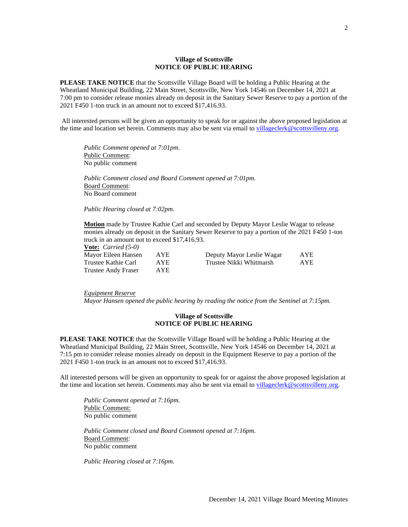### **Village of Scottsville NOTICE OF PUBLIC HEARING**

**PLEASE TAKE NOTICE** that the Scottsville Village Board will be holding a Public Hearing at the Wheatland Municipal Building, 22 Main Street, Scottsville, New York 14546 on December 14, 2021 at 7:00 pm to consider release monies already on deposit in the Sanitary Sewer Reserve to pay a portion of the 2021 F450 1-ton truck in an amount not to exceed \$17,416.93.

All interested persons will be given an opportunity to speak for or against the above proposed legislation at the time and location set herein. Comments may also be sent via email t[o villageclerk@scottsvilleny.org.](mailto:villageclerk@scottsvilleny.org)

*Public Comment opened at 7:01pm.* Public Comment: No public comment

*Public Comment closed and Board Comment opened at 7:01pm.* Board Comment: No Board comment

*Public Hearing closed at 7:02pm.*

**Motion** made by Trustee Kathie Carl and seconded by Deputy Mayor Leslie Wagar to release monies already on deposit in the Sanitary Sewer Reserve to pay a portion of the 2021 F450 1-ton truck in an amount not to exceed \$17,416.93.

**Vote:** *Carried (5-0)*

| Mayor Eileen Hansen | AYE. | Deputy Mayor Leslie Wagar | AYE        |
|---------------------|------|---------------------------|------------|
| Trustee Kathie Carl | AYE. | Trustee Nikki Whitmarsh   | <b>AYE</b> |
| Trustee Andy Fraser | AYE. |                           |            |

## *Equipment Reserve*

*Mayor Hansen opened the public hearing by reading the notice from the Sentinel at 7:15pm.*

### **Village of Scottsville NOTICE OF PUBLIC HEARING**

**PLEASE TAKE NOTICE** that the Scottsville Village Board will be holding a Public Hearing at the Wheatland Municipal Building, 22 Main Street, Scottsville, New York 14546 on December 14, 2021 at 7:15 pm to consider release monies already on deposit in the Equipment Reserve to pay a portion of the 2021 F450 1-ton truck in an amount not to exceed \$17,416.93.

All interested persons will be given an opportunity to speak for or against the above proposed legislation at the time and location set herein. Comments may also be sent via email t[o villageclerk@scottsvilleny.org.](mailto:villageclerk@scottsvilleny.org)

*Public Comment opened at 7:16pm.* Public Comment: No public comment

*Public Comment closed and Board Comment opened at 7:16pm.* Board Comment: No public comment

*Public Hearing closed at 7:16pm.*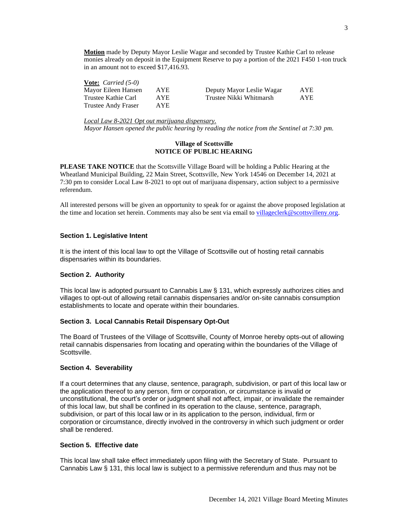**Motion** made by Deputy Mayor Leslie Wagar and seconded by Trustee Kathie Carl to release monies already on deposit in the Equipment Reserve to pay a portion of the 2021 F450 1-ton truck in an amount not to exceed \$17,416.93.

| <b>Vote:</b> <i>Carried</i> $(5-0)$ |      |                           |      |
|-------------------------------------|------|---------------------------|------|
| Mayor Eileen Hansen                 | AYE  | Deputy Mayor Leslie Wagar | AYE. |
| Trustee Kathie Carl                 | AYE. | Trustee Nikki Whitmarsh   | AYE. |
| Trustee Andy Fraser                 | AYE. |                           |      |

*Local Law 8-2021 Opt out marijuana dispensary.*

*Mayor Hansen opened the public hearing by reading the notice from the Sentinel at 7:30 pm.*

## **Village of Scottsville NOTICE OF PUBLIC HEARING**

**PLEASE TAKE NOTICE** that the Scottsville Village Board will be holding a Public Hearing at the Wheatland Municipal Building, 22 Main Street, Scottsville, New York 14546 on December 14, 2021 at 7:30 pm to consider Local Law 8-2021 to opt out of marijuana dispensary, action subject to a permissive referendum.

All interested persons will be given an opportunity to speak for or against the above proposed legislation at the time and location set herein. Comments may also be sent via email t[o villageclerk@scottsvilleny.org.](mailto:villageclerk@scottsvilleny.org)

## **Section 1. Legislative Intent**

It is the intent of this local law to opt the Village of Scottsville out of hosting retail cannabis dispensaries within its boundaries.

## **Section 2. Authority**

This local law is adopted pursuant to Cannabis Law § 131, which expressly authorizes cities and villages to opt-out of allowing retail cannabis dispensaries and/or on-site cannabis consumption establishments to locate and operate within their boundaries.

## **Section 3. Local Cannabis Retail Dispensary Opt-Out**

The Board of Trustees of the Village of Scottsville, County of Monroe hereby opts-out of allowing retail cannabis dispensaries from locating and operating within the boundaries of the Village of Scottsville.

## **Section 4. Severability**

If a court determines that any clause, sentence, paragraph, subdivision, or part of this local law or the application thereof to any person, firm or corporation, or circumstance is invalid or unconstitutional, the court's order or judgment shall not affect, impair, or invalidate the remainder of this local law, but shall be confined in its operation to the clause, sentence, paragraph, subdivision, or part of this local law or in its application to the person, individual, firm or corporation or circumstance, directly involved in the controversy in which such judgment or order shall be rendered.

## **Section 5. Effective date**

This local law shall take effect immediately upon filing with the Secretary of State. Pursuant to Cannabis Law § 131, this local law is subject to a permissive referendum and thus may not be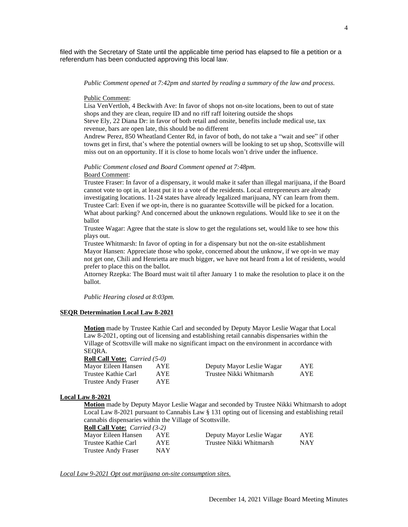filed with the Secretary of State until the applicable time period has elapsed to file a petition or a referendum has been conducted approving this local law.

### *Public Comment opened at 7:42pm and started by reading a summary of the law and process.*

#### Public Comment:

Lisa VenVertloh, 4 Beckwith Ave: In favor of shops not on-site locations, been to out of state shops and they are clean, require ID and no riff raff loitering outside the shops Steve Ely, 22 Diana Dr: in favor of both retail and onsite, benefits include medical use, tax revenue, bars are open late, this should be no different

Andrew Perez, 850 Wheatland Center Rd, in favor of both, do not take a "wait and see" if other towns get in first, that's where the potential owners will be looking to set up shop, Scottsville will miss out on an opportunity. If it is close to home locals won't drive under the influence.

### *Public Comment closed and Board Comment opened at 7:48pm.* Board Comment:

Trustee Fraser: In favor of a dispensary, it would make it safer than illegal marijuana, if the Board cannot vote to opt in, at least put it to a vote of the residents. Local entrepreneurs are already investigating locations. 11-24 states have already legalized marijuana, NY can learn from them. Trustee Carl: Even if we opt-in, there is no guarantee Scottsville will be picked for a location. What about parking? And concerned about the unknown regulations. Would like to see it on the ballot

Trustee Wagar: Agree that the state is slow to get the regulations set, would like to see how this plays out.

Trustee Whitmarsh: In favor of opting in for a dispensary but not the on-site establishment Mayor Hansen: Appreciate those who spoke, concerned about the unknow, if we opt-in we may not get one, Chili and Henrietta are much bigger, we have not heard from a lot of residents, would prefer to place this on the ballot.

Attorney Rzepka: The Board must wait til after January 1 to make the resolution to place it on the ballot.

*Public Hearing closed at 8:03pm.*

### **SEQR Determination Local Law 8-2021**

**Motion** made by Trustee Kathie Carl and seconded by Deputy Mayor Leslie Wagar that Local Law 8-2021, opting out of licensing and establishing retail cannabis dispensaries within the Village of Scottsville will make no significant impact on the environment in accordance with SEQRA.

| <b>Roll Call Vote:</b> <i>Carried</i> (5-0) |            |                           |      |
|---------------------------------------------|------------|---------------------------|------|
| Mayor Eileen Hansen                         | AYE        | Deputy Mayor Leslie Wagar | AYE. |
| Trustee Kathie Carl                         | AYE.       | Trustee Nikki Whitmarsh   | AYE. |
| Trustee Andy Fraser                         | <b>AYE</b> |                           |      |

#### **Local Law 8-2021**

**Motion** made by Deputy Mayor Leslie Wagar and seconded by Trustee Nikki Whitmarsh to adopt Local Law 8-2021 pursuant to Cannabis Law § 131 opting out of licensing and establishing retail cannabis dispensaries within the Village of Scottsville.

| <b>Roll Call Vote:</b> <i>Carried</i> (3-2) |      |                           |      |
|---------------------------------------------|------|---------------------------|------|
| Mayor Eileen Hansen                         | AYE  | Deputy Mayor Leslie Wagar | AYE. |
| Trustee Kathie Carl                         | AYE. | Trustee Nikki Whitmarsh   | NAY. |
| Trustee Andy Fraser                         | NAY  |                           |      |

*Local Law 9-2021 Opt out marijuana on-site consumption sites.*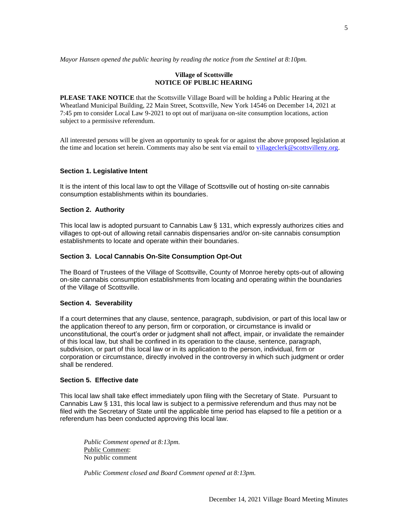*Mayor Hansen opened the public hearing by reading the notice from the Sentinel at 8:10pm.*

## **Village of Scottsville NOTICE OF PUBLIC HEARING**

**PLEASE TAKE NOTICE** that the Scottsville Village Board will be holding a Public Hearing at the Wheatland Municipal Building, 22 Main Street, Scottsville, New York 14546 on December 14, 2021 at 7:45 pm to consider Local Law 9-2021 to opt out of marijuana on-site consumption locations, action subject to a permissive referendum.

All interested persons will be given an opportunity to speak for or against the above proposed legislation at the time and location set herein. Comments may also be sent via email to [villageclerk@scottsvilleny.org.](mailto:villageclerk@scottsvilleny.org)

## **Section 1. Legislative Intent**

It is the intent of this local law to opt the Village of Scottsville out of hosting on-site cannabis consumption establishments within its boundaries.

## **Section 2. Authority**

This local law is adopted pursuant to Cannabis Law § 131, which expressly authorizes cities and villages to opt-out of allowing retail cannabis dispensaries and/or on-site cannabis consumption establishments to locate and operate within their boundaries.

## **Section 3. Local Cannabis On-Site Consumption Opt-Out**

The Board of Trustees of the Village of Scottsville, County of Monroe hereby opts-out of allowing on-site cannabis consumption establishments from locating and operating within the boundaries of the Village of Scottsville.

## **Section 4. Severability**

If a court determines that any clause, sentence, paragraph, subdivision, or part of this local law or the application thereof to any person, firm or corporation, or circumstance is invalid or unconstitutional, the court's order or judgment shall not affect, impair, or invalidate the remainder of this local law, but shall be confined in its operation to the clause, sentence, paragraph, subdivision, or part of this local law or in its application to the person, individual, firm or corporation or circumstance, directly involved in the controversy in which such judgment or order shall be rendered.

## **Section 5. Effective date**

This local law shall take effect immediately upon filing with the Secretary of State. Pursuant to Cannabis Law § 131, this local law is subject to a permissive referendum and thus may not be filed with the Secretary of State until the applicable time period has elapsed to file a petition or a referendum has been conducted approving this local law.

*Public Comment opened at 8:13pm.* Public Comment: No public comment

*Public Comment closed and Board Comment opened at 8:13pm.*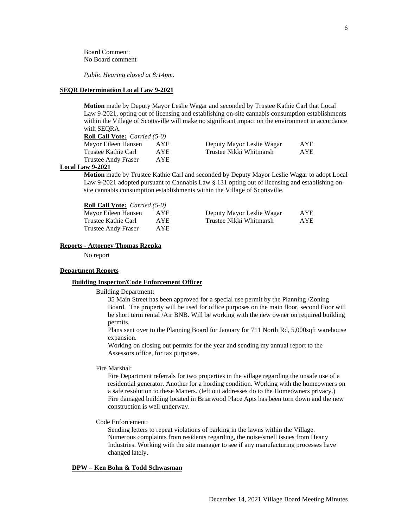Board Comment: No Board comment

*Public Hearing closed at 8:14pm.*

#### **SEQR Determination Local Law 9-2021**

**Motion** made by Deputy Mayor Leslie Wagar and seconded by Trustee Kathie Carl that Local Law 9-2021, opting out of licensing and establishing on-site cannabis consumption establishments within the Village of Scottsville will make no significant impact on the environment in accordance with SEQRA.

| <b>Roll Call Vote:</b> <i>Carried</i> (5-0) |            |                           |            |
|---------------------------------------------|------------|---------------------------|------------|
| Mayor Eileen Hansen                         | AYE        | Deputy Mayor Leslie Wagar | <b>AYE</b> |
| Trustee Kathie Carl                         | AYE.       | Trustee Nikki Whitmarsh   | AYE.       |
| Trustee Andy Fraser                         | <b>AYE</b> |                           |            |

## **Local Law 9-2021**

**Motion** made by Trustee Kathie Carl and seconded by Deputy Mayor Leslie Wagar to adopt Local Law 9-2021 adopted pursuant to Cannabis Law § 131 opting out of licensing and establishing onsite cannabis consumption establishments within the Village of Scottsville.

| <b>Roll Call Vote:</b> <i>Carried</i> (5-0) |      |                           |     |
|---------------------------------------------|------|---------------------------|-----|
| Mayor Eileen Hansen                         | AYE. | Deputy Mayor Leslie Wagar | AYE |
| Trustee Kathie Carl                         | AYE. | Trustee Nikki Whitmarsh   | AYE |
| Trustee Andy Fraser                         | AYE. |                           |     |

#### **Reports - Attorney Thomas Rzepka**

No report

#### **Department Reports**

#### **Building Inspector/Code Enforcement Officer**

Building Department:

35 Main Street has been approved for a special use permit by the Planning /Zoning Board. The property will be used for office purposes on the main floor, second floor will be short term rental /Air BNB. Will be working with the new owner on required building permits.

Plans sent over to the Planning Board for January for 711 North Rd, 5,000sqft warehouse expansion.

Working on closing out permits for the year and sending my annual report to the Assessors office, for tax purposes.

#### Fire Marshal:

Fire Department referrals for two properties in the village regarding the unsafe use of a residential generator. Another for a hording condition. Working with the homeowners on a safe resolution to these Matters. (left out addresses do to the Homeowners privacy.) Fire damaged building located in Briarwood Place Apts has been torn down and the new construction is well underway.

## Code Enforcement:

Sending letters to repeat violations of parking in the lawns within the Village. Numerous complaints from residents regarding, the noise/smell issues from Heany Industries. Working with the site manager to see if any manufacturing processes have changed lately.

## **DPW – Ken Bohn & Todd Schwasman**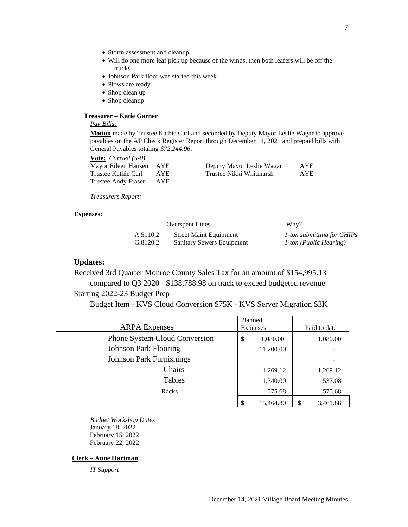- Storm assessment and cleanup
- Will do one more leaf pick up because of the winds, then both leafers will be off the trucks
- Johnson Park floor was started this week
- Plows are ready
- Shop clean up
- Shop cleanup

## **Treasurer – Katie Garner**

# *Pay Bills:*

**Motion** made by Trustee Kathie Carl and seconded by Deputy Mayor Leslie Wagar to approve payables on the AP Check Register Report through December 14, 2021 and prepaid bills with General Payables totaling *\$72,244.96*.

| <b>Vote:</b> <i>Carried</i> $(5-0)$ |      |
|-------------------------------------|------|
| Mayor Eileen Hansen                 | AYE. |
| Trustee Kathie Carl                 | AYE. |
| <b>Trustee Andy Fraser</b>          | AYE. |

| Mayor Eileen Hansen AYE |      | Deputy Mayor Leslie Wagar | AYE        |
|-------------------------|------|---------------------------|------------|
| Trustee Kathie Carl     | AYE. | Trustee Nikki Whitmarsh   | <b>AYE</b> |

## *Treasurers Report:*

### **Expenses:**

|          | <b>Overspent Lines</b>        | Whv?                       |
|----------|-------------------------------|----------------------------|
| A.5110.2 | <b>Street Maint Equipment</b> | 1-ton submitting for CHIPs |
| G.8120.2 | Sanitary Sewers Equipment     | 1-ton (Public Hearing)     |

# **Updates:**

Received 3rd Quarter Monroe County Sales Tax for an amount of \$154,995.13 compared to Q3 2020 - \$138,788.98 on track to exceed budgeted revenue Starting 2022-23 Budget Prep

Budget Item - KVS Cloud Conversion \$75K - KVS Server Migration \$3K

| <b>ARPA</b> Expenses            | Planned<br><b>Expenses</b> | Paid to date   |
|---------------------------------|----------------------------|----------------|
| Phone System Cloud Conversion   | 1,080.00<br>\$             | 1,080.00       |
| <b>Johnson Park Flooring</b>    | 11,200.00                  |                |
| <b>Johnson Park Furnishings</b> |                            |                |
| Chairs                          | 1,269.12                   | 1,269.12       |
| Tables                          | 1,340.00                   | 537.08         |
| Racks                           | 575.68                     | 575.68         |
|                                 | 15,464.80                  | \$<br>3,461.88 |

*Budget Workshop Dates* January 18, 2022 February 15, 2022 February 22, 2022

# **Clerk – Anne Hartman**

*IT Support*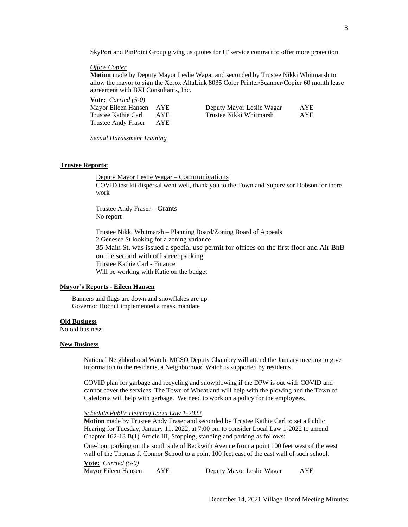SkyPort and PinPoint Group giving us quotes for IT service contract to offer more protection

#### *Office Copier*

**Motion** made by Deputy Mayor Leslie Wagar and seconded by Trustee Nikki Whitmarsh to allow the mayor to sign the Xerox AltaLink 8035 Color Printer/Scanner/Copier 60 month lease agreement with BXI Consultants, Inc.

**Vote:** *Carried (5-0)* Mayor Eileen Hansen AYE Deputy Mayor Leslie Wagar AYE Trustee Kathie Carl AYE Trustee Nikki Whitmarsh AYE Trustee Andy Fraser AYE

*Sexual Harassment Training*

### **Trustee Reports:**

Deputy Mayor Leslie Wagar – Communications COVID test kit dispersal went well, thank you to the Town and Supervisor Dobson for there work

Trustee Andy Fraser – Grants No report

Trustee Nikki Whitmarsh – Planning Board/Zoning Board of Appeals 2 Genesee St looking for a zoning variance 35 Main St. was issued a special use permit for offices on the first floor and Air BnB on the second with off street parking Trustee Kathie Carl - Finance Will be working with Katie on the budget

#### **Mayor's Reports - Eileen Hansen**

Banners and flags are down and snowflakes are up. Governor Hochul implemented a mask mandate

## **Old Business**

No old business

### **New Business**

National Neighborhood Watch: MCSO Deputy Chambry will attend the January meeting to give information to the residents, a Neighborhood Watch is supported by residents

COVID plan for garbage and recycling and snowplowing if the DPW is out with COVID and cannot cover the services. The Town of Wheatland will help with the plowing and the Town of Caledonia will help with garbage. We need to work on a policy for the employees.

*Schedule Public Hearing Local Law 1-2022*

**Motion** made by Trustee Andy Fraser and seconded by Trustee Kathie Carl to set a Public Hearing for Tuesday, January 11, 2022, at 7:00 pm to consider Local Law 1-2022 to amend Chapter 162-13 B(1) Article III, Stopping, standing and parking as follows:

One-hour parking on the south side of Beckwith Avenue from a point 100 feet west of the west wall of the Thomas J. Connor School to a point 100 feet east of the east wall of such school.

**Vote:** *Carried (5-0)*

Mayor Eileen Hansen AYE Deputy Mayor Leslie Wagar AYE